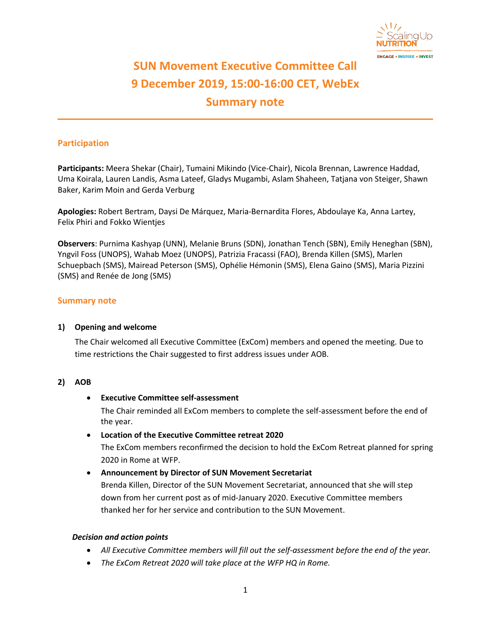

# **SUN Movement Executive Committee Call 9 December 2019, 15:00-16:00 CET, WebEx Summary note**

# **Participation**

**Participants:** Meera Shekar (Chair), Tumaini Mikindo (Vice-Chair), Nicola Brennan, Lawrence Haddad, Uma Koirala, Lauren Landis, Asma Lateef, Gladys Mugambi, Aslam Shaheen, Tatjana von Steiger, Shawn Baker, Karim Moin and Gerda Verburg

**Apologies:** Robert Bertram, Daysi De Márquez, Maria-Bernardita Flores, Abdoulaye Ka, Anna Lartey, Felix Phiri and Fokko Wientjes

**Observers**: Purnima Kashyap (UNN), Melanie Bruns (SDN), Jonathan Tench (SBN), Emily Heneghan (SBN), Yngvil Foss (UNOPS), Wahab Moez (UNOPS), Patrizia Fracassi (FAO), Brenda Killen (SMS), Marlen Schuepbach (SMS), Mairead Peterson (SMS), Ophélie Hémonin (SMS), Elena Gaino (SMS), Maria Pizzini (SMS) and Renée de Jong (SMS)

#### **Summary note**

#### **1) Opening and welcome**

The Chair welcomed all Executive Committee (ExCom) members and opened the meeting. Due to time restrictions the Chair suggested to first address issues under AOB.

#### **2) AOB**

#### • **Executive Committee self-assessment**

The Chair reminded all ExCom members to complete the self-assessment before the end of the year.

#### • **Location of the Executive Committee retreat 2020**

The ExCom members reconfirmed the decision to hold the ExCom Retreat planned for spring 2020 in Rome at WFP.

#### • **Announcement by Director of SUN Movement Secretariat**

Brenda Killen, Director of the SUN Movement Secretariat, announced that she will step down from her current post as of mid-January 2020. Executive Committee members thanked her for her service and contribution to the SUN Movement.

#### *Decision and action points*

- *All Executive Committee members will fill out the self-assessment before the end of the year.*
- *The ExCom Retreat 2020 will take place at the WFP HQ in Rome.*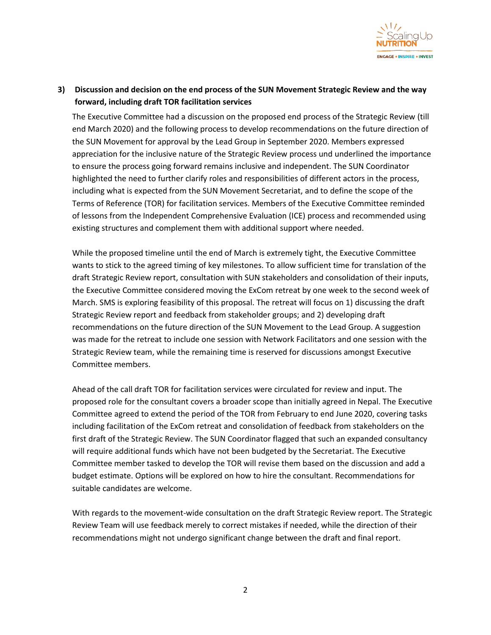

# **3) Discussion and decision on the end process of the SUN Movement Strategic Review and the way forward, including draft TOR facilitation services**

The Executive Committee had a discussion on the proposed end process of the Strategic Review (till end March 2020) and the following process to develop recommendations on the future direction of the SUN Movement for approval by the Lead Group in September 2020. Members expressed appreciation for the inclusive nature of the Strategic Review process und underlined the importance to ensure the process going forward remains inclusive and independent. The SUN Coordinator highlighted the need to further clarify roles and responsibilities of different actors in the process, including what is expected from the SUN Movement Secretariat, and to define the scope of the Terms of Reference (TOR) for facilitation services. Members of the Executive Committee reminded of lessons from the Independent Comprehensive Evaluation (ICE) process and recommended using existing structures and complement them with additional support where needed.

While the proposed timeline until the end of March is extremely tight, the Executive Committee wants to stick to the agreed timing of key milestones. To allow sufficient time for translation of the draft Strategic Review report, consultation with SUN stakeholders and consolidation of their inputs, the Executive Committee considered moving the ExCom retreat by one week to the second week of March. SMS is exploring feasibility of this proposal. The retreat will focus on 1) discussing the draft Strategic Review report and feedback from stakeholder groups; and 2) developing draft recommendations on the future direction of the SUN Movement to the Lead Group. A suggestion was made for the retreat to include one session with Network Facilitators and one session with the Strategic Review team, while the remaining time is reserved for discussions amongst Executive Committee members.

Ahead of the call draft TOR for facilitation services were circulated for review and input. The proposed role for the consultant covers a broader scope than initially agreed in Nepal. The Executive Committee agreed to extend the period of the TOR from February to end June 2020, covering tasks including facilitation of the ExCom retreat and consolidation of feedback from stakeholders on the first draft of the Strategic Review. The SUN Coordinator flagged that such an expanded consultancy will require additional funds which have not been budgeted by the Secretariat. The Executive Committee member tasked to develop the TOR will revise them based on the discussion and add a budget estimate. Options will be explored on how to hire the consultant. Recommendations for suitable candidates are welcome.

With regards to the movement-wide consultation on the draft Strategic Review report. The Strategic Review Team will use feedback merely to correct mistakes if needed, while the direction of their recommendations might not undergo significant change between the draft and final report.